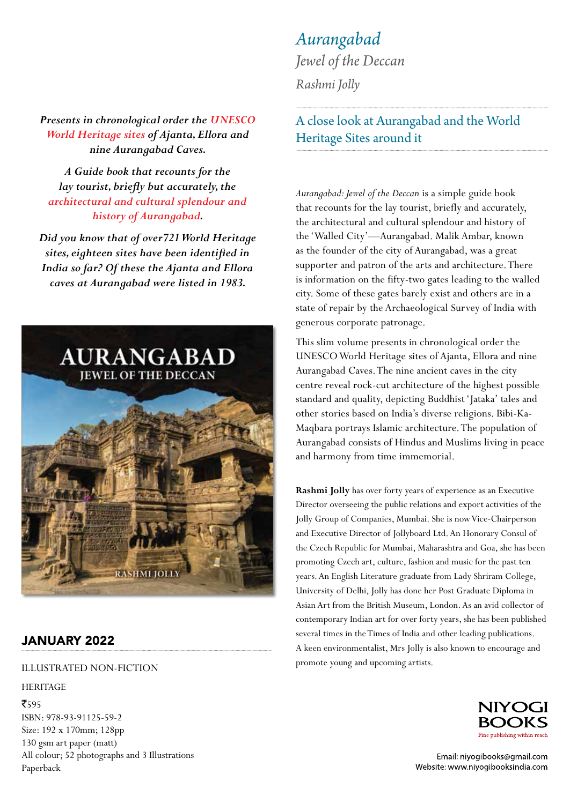*Presents in chronological order the UNESCO World Heritage sites of Ajanta, Ellora and nine Aurangabad Caves.*

*A Guide book that recounts for the lay tourist, briefly but accurately, the architectural and cultural splendour and history of Aurangabad.*

*Did you know that of over721World Heritage sites, eighteen sites have been identified in India so far? Of these the Ajanta and Ellora caves at Aurangabad were listed in 1983.*



## JANUARY 2022

## ILLUSTRATED NON-FICTION

HERITAGE

₹595 ISBN: 978-93-91125-59-2 Size: 192 x 170mm; 128pp 130 gsm art paper (matt) All colour; 52 photographs and 3 Illustrations Paperback

*Aurangabad Jewel of the Deccan Rashmi Jolly*

## A close look at Aurangabad and the World Heritage Sites around it

*Aurangabad: Jewel of the Deccan* is a simple guide book that recounts for the lay tourist, briefly and accurately, the architectural and cultural splendour and history of the 'Walled City'—Aurangabad. Malik Ambar, known as the founder of the city of Aurangabad, was a great supporter and patron of the arts and architecture. There is information on the fifty-two gates leading to the walled city. Some of these gates barely exist and others are in a state of repair by the Archaeological Survey of India with generous corporate patronage.

This slim volume presents in chronological order the UNESCO World Heritage sites of Ajanta, Ellora and nine Aurangabad Caves. The nine ancient caves in the city centre reveal rock-cut architecture of the highest possible standard and quality, depicting Buddhist 'Jataka' tales and other stories based on India's diverse religions. Bibi-Ka-Maqbara portrays Islamic architecture. The population of Aurangabad consists of Hindus and Muslims living in peace and harmony from time immemorial.

**Rashmi Jolly** has over forty years of experience as an Executive Director overseeing the public relations and export activities of the Jolly Group of Companies, Mumbai. She is now Vice-Chairperson and Executive Director of Jollyboard Ltd. An Honorary Consul of the Czech Republic for Mumbai, Maharashtra and Goa, she has been promoting Czech art, culture, fashion and music for the past ten years. An English Literature graduate from Lady Shriram College, University of Delhi, Jolly has done her Post Graduate Diploma in Asian Art from the British Museum, London. As an avid collector of contemporary Indian art for over forty years, she has been published several times in the Times of India and other leading publications. A keen environmentalist, Mrs Jolly is also known to encourage and promote young and upcoming artists.



Email: niyogibooks@gmail.com Website: www.niyogibooksindia.com